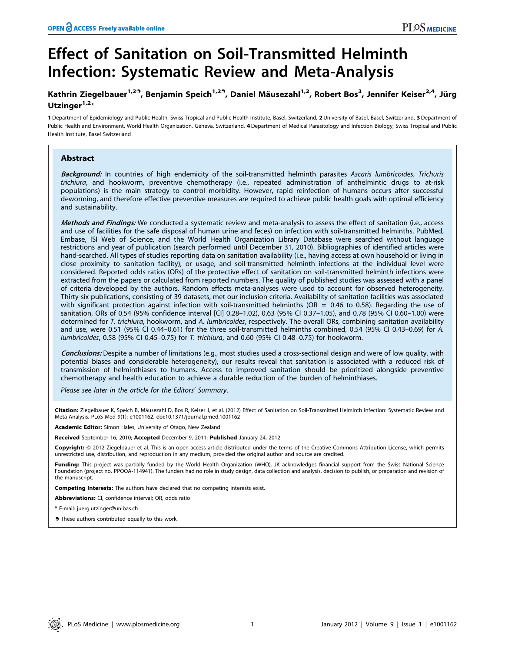# Effect of Sanitation on Soil-Transmitted Helminth Infection: Systematic Review and Meta-Analysis

## Kathrin Ziegelbauer<sup>1,29</sup>, Benjamin Speich<sup>1,29</sup>, Daniel Mäusezahl<sup>1,2</sup>, Robert Bos<sup>3</sup>, Jennifer Keiser<sup>2,4</sup>, Jürg Utzinger $1,2*$

1 Department of Epidemiology and Public Health, Swiss Tropical and Public Health Institute, Basel, Switzerland, 2 University of Basel, Switzerland, 3 Department of Public Health and Environment, World Health Organization, Geneva, Switzerland, 4 Department of Medical Parasitology and Infection Biology, Swiss Tropical and Public Health Institute, Basel Switzerland

## Abstract

Background: In countries of high endemicity of the soil-transmitted helminth parasites Ascaris lumbricoides, Trichuris trichiura, and hookworm, preventive chemotherapy (i.e., repeated administration of anthelmintic drugs to at-risk populations) is the main strategy to control morbidity. However, rapid reinfection of humans occurs after successful deworming, and therefore effective preventive measures are required to achieve public health goals with optimal efficiency and sustainability.

Methods and Findings: We conducted a systematic review and meta-analysis to assess the effect of sanitation (i.e., access and use of facilities for the safe disposal of human urine and feces) on infection with soil-transmitted helminths. PubMed, Embase, ISI Web of Science, and the World Health Organization Library Database were searched without language restrictions and year of publication (search performed until December 31, 2010). Bibliographies of identified articles were hand-searched. All types of studies reporting data on sanitation availability (i.e., having access at own household or living in close proximity to sanitation facility), or usage, and soil-transmitted helminth infections at the individual level were considered. Reported odds ratios (ORs) of the protective effect of sanitation on soil-transmitted helminth infections were extracted from the papers or calculated from reported numbers. The quality of published studies was assessed with a panel of criteria developed by the authors. Random effects meta-analyses were used to account for observed heterogeneity. Thirty-six publications, consisting of 39 datasets, met our inclusion criteria. Availability of sanitation facilities was associated with significant protection against infection with soil-transmitted helminths (OR = 0.46 to 0.58). Regarding the use of sanitation, ORs of 0.54 (95% confidence interval [CI] 0.28–1.02), 0.63 (95% CI 0.37–1.05), and 0.78 (95% CI 0.60–1.00) were determined for T. trichiura, hookworm, and A. lumbricoides, respectively. The overall ORs, combining sanitation availability and use, were 0.51 (95% CI 0.44–0.61) for the three soil-transmitted helminths combined, 0.54 (95% CI 0.43–0.69) for A. lumbricoides, 0.58 (95% CI 0.45–0.75) for T. trichiura, and 0.60 (95% CI 0.48–0.75) for hookworm.

Conclusions: Despite a number of limitations (e.g., most studies used a cross-sectional design and were of low quality, with potential biases and considerable heterogeneity), our results reveal that sanitation is associated with a reduced risk of transmission of helminthiases to humans. Access to improved sanitation should be prioritized alongside preventive chemotherapy and health education to achieve a durable reduction of the burden of helminthiases.

Please see later in the article for the Editors' Summary.

Citation: Ziegelbauer K, Speich B, Mäusezahl D, Bos R, Keiser J, et al. (2012) Effect of Sanitation on Soil-Transmitted Helminth Infection: Systematic Review and Meta-Analysis. PLoS Med 9(1): e1001162. doi:10.1371/journal.pmed.1001162

Academic Editor: Simon Hales, University of Otago, New Zealand

Received September 16, 2010; Accepted December 9, 2011; Published January 24, 2012

Copyright: © 2012 Ziegelbauer et al. This is an open-access article distributed under the terms of the Creative Commons Attribution License, which permits unrestricted use, distribution, and reproduction in any medium, provided the original author and source are credited.

Funding: This project was partially funded by the World Health Organization (WHO). JK acknowledges financial support from the Swiss National Science Foundation (project no. PPOOA-114941). The funders had no role in study design, data collection and analysis, decision to publish, or preparation and revision of the manuscript.

Competing Interests: The authors have declared that no competing interests exist.

Abbreviations: CI, confidence interval; OR, odds ratio

\* E-mail: juerg.utzinger@unibas.ch

. These authors contributed equally to this work.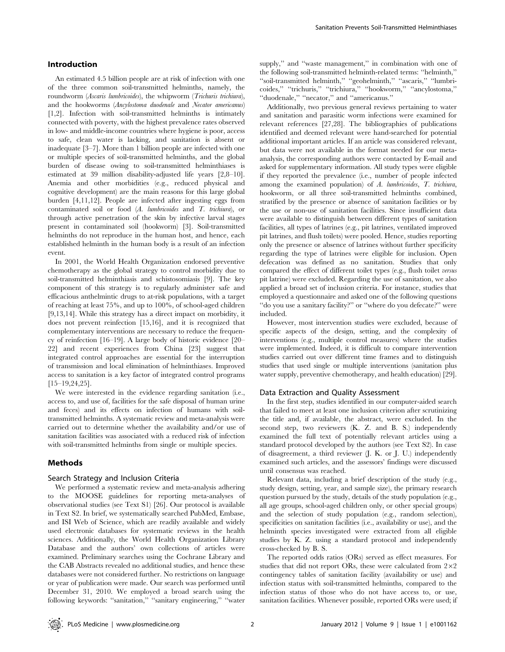#### Introduction

An estimated 4.5 billion people are at risk of infection with one of the three common soil-transmitted helminths, namely, the roundworm (Ascaris lumbricoides), the whipworm (Trichuris trichiura), and the hookworms (Ancylostoma duodenale and Necator americanus) [1,2]. Infection with soil-transmitted helminths is intimately connected with poverty, with the highest prevalence rates observed in low- and middle-income countries where hygiene is poor, access to safe, clean water is lacking, and sanitation is absent or inadequate [3–7]. More than 1 billion people are infected with one or multiple species of soil-transmitted helminths, and the global burden of disease owing to soil-transmitted helminthiases is estimated at 39 million disability-adjusted life years [2,8–10]. Anemia and other morbidities (e.g., reduced physical and cognitive development) are the main reasons for this large global burden [4,11,12]. People are infected after ingesting eggs from contaminated soil or food (A. lumbricoides and T. trichiura), or through active penetration of the skin by infective larval stages present in contaminated soil (hookworm) [3]. Soil-transmitted helminths do not reproduce in the human host, and hence, each established helminth in the human body is a result of an infection event.

In 2001, the World Health Organization endorsed preventive chemotherapy as the global strategy to control morbidity due to soil-transmitted helminthiasis and schistosomiasis [9]. The key component of this strategy is to regularly administer safe and efficacious anthelmintic drugs to at-risk populations, with a target of reaching at least 75%, and up to 100%, of school-aged children [9,13,14]. While this strategy has a direct impact on morbidity, it does not prevent reinfection [15,16], and it is recognized that complementary interventions are necessary to reduce the frequency of reinfection [16–19]. A large body of historic evidence [20– 22] and recent experiences from China [23] suggest that integrated control approaches are essential for the interruption of transmission and local elimination of helminthiases. Improved access to sanitation is a key factor of integrated control programs [15–19,24,25].

We were interested in the evidence regarding sanitation (i.e., access to, and use of, facilities for the safe disposal of human urine and feces) and its effects on infection of humans with soiltransmitted helminths. A systematic review and meta-analysis were carried out to determine whether the availability and/or use of sanitation facilities was associated with a reduced risk of infection with soil-transmitted helminths from single or multiple species.

#### Methods

#### Search Strategy and Inclusion Criteria

We performed a systematic review and meta-analysis adhering to the MOOSE guidelines for reporting meta-analyses of observational studies (see Text S1) [26]. Our protocol is available in Text S2. In brief, we systematically searched PubMed, Embase, and ISI Web of Science, which are readily available and widely used electronic databases for systematic reviews in the health sciences. Additionally, the World Health Organization Library Database and the authors' own collections of articles were examined. Preliminary searches using the Cochrane Library and the CAB Abstracts revealed no additional studies, and hence these databases were not considered further. No restrictions on language or year of publication were made. Our search was performed until December 31, 2010. We employed a broad search using the following keywords: ''sanitation,'' ''sanitary engineering,'' ''water

supply," and "waste management," in combination with one of the following soil-transmitted helminth-related terms: ''helminth,'' ''soil-transmitted helminth,'' ''geohelminth,'' ''ascaris,'' ''lumbricoides,'' ''trichuris,'' ''trichiura,'' ''hookworm,'' ''ancylostoma,'' ''duodenale,'' ''necator,'' and ''americanus.''

Additionally, two previous general reviews pertaining to water and sanitation and parasitic worm infections were examined for relevant references [27,28]. The bibliographies of publications identified and deemed relevant were hand-searched for potential additional important articles. If an article was considered relevant, but data were not available in the format needed for our metaanalysis, the corresponding authors were contacted by E-mail and asked for supplementary information. All study types were eligible if they reported the prevalence (i.e., number of people infected among the examined population) of A. lumbricoides, T. trichiura, hookworm, or all three soil-transmitted helminths combined, stratified by the presence or absence of sanitation facilities or by the use or non-use of sanitation facilities. Since insufficient data were available to distinguish between different types of sanitation facilities, all types of latrines (e.g., pit latrines, ventilated improved pit latrines, and flush toilets) were pooled. Hence, studies reporting only the presence or absence of latrines without further specificity regarding the type of latrines were eligible for inclusion. Open defecation was defined as no sanitation. Studies that only compared the effect of different toilet types (e.g., flush toilet versus pit latrine) were excluded. Regarding the use of sanitation, we also applied a broad set of inclusion criteria. For instance, studies that employed a questionnaire and asked one of the following questions ''do you use a sanitary facility?'' or ''where do you defecate?'' were included.

However, most intervention studies were excluded, because of specific aspects of the design, setting, and the complexity of interventions (e.g., multiple control measures) where the studies were implemented. Indeed, it is difficult to compare intervention studies carried out over different time frames and to distinguish studies that used single or multiple interventions (sanitation plus water supply, preventive chemotherapy, and health education) [29].

#### Data Extraction and Quality Assessment

In the first step, studies identified in our computer-aided search that failed to meet at least one inclusion criterion after scrutinizing the title and, if available, the abstract, were excluded. In the second step, two reviewers (K. Z. and B. S.) independently examined the full text of potentially relevant articles using a standard protocol developed by the authors (see Text S2). In case of disagreement, a third reviewer (J. K. or J. U.) independently examined such articles, and the assessors' findings were discussed until consensus was reached.

Relevant data, including a brief description of the study (e.g., study design, setting, year, and sample size), the primary research question pursued by the study, details of the study population (e.g., all age groups, school-aged children only, or other special groups) and the selection of study population (e.g., random selection), specificities on sanitation facilities (i.e., availability or use), and the helminth species investigated were extracted from all eligible studies by K. Z. using a standard protocol and independently cross-checked by B. S.

The reported odds ratios (ORs) served as effect measures. For studies that did not report ORs, these were calculated from  $2\times2$ contingency tables of sanitation facility (availability or use) and infection status with soil-transmitted helminths, compared to the infection status of those who do not have access to, or use, sanitation facilities. Whenever possible, reported ORs were used; if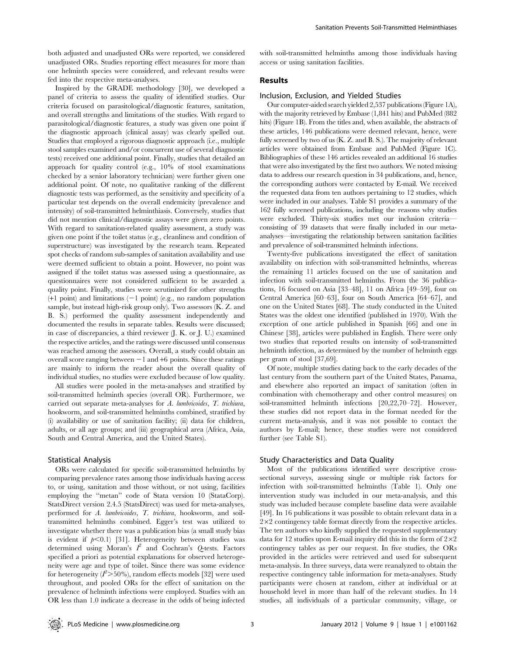both adjusted and unadjusted ORs were reported, we considered unadjusted ORs. Studies reporting effect measures for more than one helminth species were considered, and relevant results were fed into the respective meta-analyses.

Inspired by the GRADE methodology [30], we developed a panel of criteria to assess the quality of identified studies. Our criteria focused on parasitological/diagnostic features, sanitation, and overall strengths and limitations of the studies. With regard to parasitological/diagnostic features, a study was given one point if the diagnostic approach (clinical assay) was clearly spelled out. Studies that employed a rigorous diagnostic approach (i.e., multiple stool samples examined and/or concurrent use of several diagnostic tests) received one additional point. Finally, studies that detailed an approach for quality control (e.g., 10% of stool examinations checked by a senior laboratory technician) were further given one additional point. Of note, no qualitative ranking of the different diagnostic tests was performed, as the sensitivity and specificity of a particular test depends on the overall endemicity (prevalence and intensity) of soil-transmitted helminthiasis. Conversely, studies that did not mention clinical/diagnostic assays were given zero points. With regard to sanitation-related quality assessment, a study was given one point if the toilet status (e.g., cleanliness and condition of superstructure) was investigated by the research team. Repeated spot checks of random sub-samples of sanitation availability and use were deemed sufficient to obtain a point. However, no point was assigned if the toilet status was assessed using a questionnaire, as questionnaires were not considered sufficient to be awarded a quality point. Finally, studies were scrutinized for other strengths  $(+1 \text{ point})$  and limitations  $(-1 \text{ point})$  (e.g., no random population sample, but instead high-risk group only). Two assessors (K. Z. and B. S.) performed the quality assessment independently and documented the results in separate tables. Results were discussed; in case of discrepancies, a third reviewer (J. K. or J. U.) examined the respective articles, and the ratings were discussed until consensus was reached among the assessors. Overall, a study could obtain an overall score ranging between  $-1$  and  $+6$  points. Since these ratings are mainly to inform the reader about the overall quality of individual studies, no studies were excluded because of low quality.

All studies were pooled in the meta-analyses and stratified by soil-transmitted helminth species (overall OR). Furthermore, we carried out separate meta-analyses for A. lumbricoides, T. trichiura, hookworm, and soil-transmitted helminths combined, stratified by (i) availability or use of sanitation facility; (ii) data for children, adults, or all age groups; and (iii) geographical area (Africa, Asia, South and Central America, and the United States).

#### Statistical Analysis

ORs were calculated for specific soil-transmitted helminths by comparing prevalence rates among those individuals having access to, or using, sanitation and those without, or not using, facilities employing the ''metan'' code of Stata version 10 (StataCorp). StatsDirect version 2.4.5 (StatsDirect) was used for meta-analyses, performed for A. lumbricoides, T. trichiura, hookworm, and soiltransmitted helminths combined. Egger's test was utilized to investigate whether there was a publication bias (a small study bias is evident if  $p<0.1$  [31]. Heterogeneity between studies was determined using Moran's  $\mathbf{f}^2$  and Cochran's Q-tests. Factors specified a priori as potential explanations for observed heterogeneity were age and type of toilet. Since there was some evidence for heterogeneity ( $l^2$ >50%), random effects models [32] were used throughout, and pooled ORs for the effect of sanitation on the prevalence of helminth infections were employed. Studies with an OR less than 1.0 indicate a decrease in the odds of being infected with soil-transmitted helminths among those individuals having access or using sanitation facilities.

## Results

## Inclusion, Exclusion, and Yielded Studies

Our computer-aided search yielded 2,537 publications (Figure 1A), with the majority retrieved by Embase (1,841 hits) and PubMed (882 hits) (Figure 1B). From the titles and, when available, the abstracts of these articles, 146 publications were deemed relevant, hence, were fully screened by two of us (K. Z. and B. S.). The majority of relevant articles were obtained from Embase and PubMed (Figure 1C). Bibliographies of these 146 articles revealed an additional 16 studies that were also investigated by the first two authors. We noted missing data to address our research question in 34 publications, and, hence, the corresponding authors were contacted by E-mail. We received the requested data from ten authors pertaining to 12 studies, which were included in our analyses. Table S1 provides a summary of the 162 fully screened publications, including the reasons why studies were excluded. Thirty-six studies met our inclusion criteria consisting of 39 datasets that were finally included in our metaanalyses—investigating the relationship between sanitation facilities and prevalence of soil-transmitted helminth infections.

Twenty-five publications investigated the effect of sanitation availability on infection with soil-transmitted helminths, whereas the remaining 11 articles focused on the use of sanitation and infection with soil-transmitted helminths. From the 36 publications, 16 focused on Asia [33–48], 11 on Africa [49–59], four on Central America [60–63], four on South America [64–67], and one on the United States [68]. The study conducted in the United States was the oldest one identified (published in 1970). With the exception of one article published in Spanish [66] and one in Chinese [38], articles were published in English. There were only two studies that reported results on intensity of soil-transmitted helminth infection, as determined by the number of helminth eggs per gram of stool [37,69].

Of note, multiple studies dating back to the early decades of the last century from the southern part of the United States, Panama, and elsewhere also reported an impact of sanitation (often in combination with chemotherapy and other control measures) on soil-transmitted helminth infections [20,22,70–72]. However, these studies did not report data in the format needed for the current meta-analysis, and it was not possible to contact the authors by E-mail; hence, these studies were not considered further (see Table S1).

#### Study Characteristics and Data Quality

Most of the publications identified were descriptive crosssectional surveys, assessing single or multiple risk factors for infection with soil-transmitted helminths (Table 1). Only one intervention study was included in our meta-analysis, and this study was included because complete baseline data were available [49]. In 16 publications it was possible to obtain relevant data in a  $2\times2$  contingency table format directly from the respective articles. The ten authors who kindly supplied the requested supplementary data for 12 studies upon E-mail inquiry did this in the form of  $2\times2$ contingency tables as per our request. In five studies, the ORs provided in the articles were retrieved and used for subsequent meta-analysis. In three surveys, data were reanalyzed to obtain the respective contingency table information for meta-analyses. Study participants were chosen at random, either at individual or at household level in more than half of the relevant studies. In 14 studies, all individuals of a particular community, village, or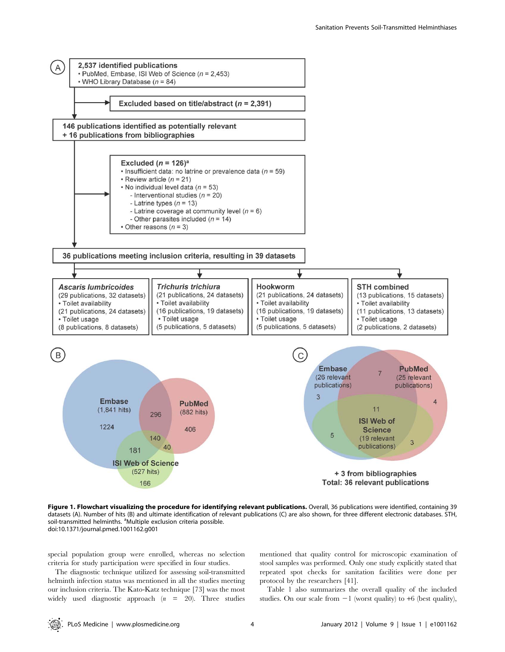

Figure 1. Flowchart visualizing the procedure for identifying relevant publications. Overall, 36 publications were identified, containing 39 datasets (A). Number of hits (B) and ultimate identification of relevant publications (C) are also shown, for three different electronic databases. STH, soil-transmitted helminths. <sup>a</sup>Multiple exclusion criteria possible. doi:10.1371/journal.pmed.1001162.g001

special population group were enrolled, whereas no selection criteria for study participation were specified in four studies.

The diagnostic technique utilized for assessing soil-transmitted helminth infection status was mentioned in all the studies meeting our inclusion criteria. The Kato-Katz technique [73] was the most widely used diagnostic approach (n = 20). Three studies mentioned that quality control for microscopic examination of stool samples was performed. Only one study explicitly stated that repeated spot checks for sanitation facilities were done per protocol by the researchers [41].

Table 1 also summarizes the overall quality of the included studies. On our scale from  $-1$  (worst quality) to  $+6$  (best quality),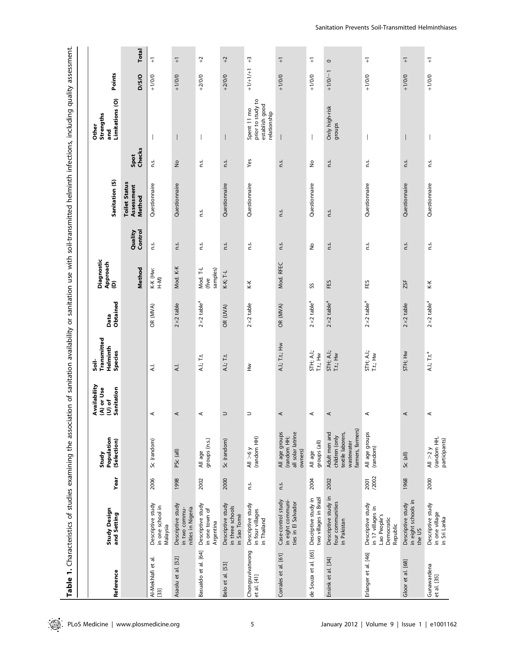Table 1. Characteristics of studies examining the association of sanitation availability or sanitation use with soil-transmitted helminth infections, including quality assessment. Table 1. Characteristics of studies examining the association of sanitation availability or sanitation use with soil-transmitted helminth infections, including quality assessment.

|                                                    | Total                                        | $\mp$                                             | $\overline{+}$                                          | $\widetilde{+}$                                  | $\div$                                               | $\widetilde{+}$                                                    | $\overline{+}$                                                 | $\mp$                                          | $\circ$                                                                                 | $\overline{+}$                                                                   | $\overline{+}$                                     | $\mp$                                               |
|----------------------------------------------------|----------------------------------------------|---------------------------------------------------|---------------------------------------------------------|--------------------------------------------------|------------------------------------------------------|--------------------------------------------------------------------|----------------------------------------------------------------|------------------------------------------------|-----------------------------------------------------------------------------------------|----------------------------------------------------------------------------------|----------------------------------------------------|-----------------------------------------------------|
| Points                                             | D/S/O                                        | $+1/0/0$                                          | $+1/0/0$                                                | $+2/0/0$                                         | $+2/0/0$                                             | $+1/+1/+1$                                                         | $+1/0/0$                                                       | $+1/0/0$                                       | $+1/0/-1$                                                                               | $+1/0/0$                                                                         | $+1/0/0$                                           | $+1/0/0$                                            |
| Limitations (O)<br>Strengths<br>Other<br>and       |                                              | $\overline{\phantom{a}}$                          | I                                                       | $\overline{\phantom{a}}$                         | I                                                    | prior to study to<br>establish good<br>Spent 11 mo<br>relationship | I                                                              | I                                              | Only high-risk<br>groups                                                                | I                                                                                | $\overline{\phantom{a}}$                           | $\overline{\phantom{a}}$                            |
|                                                    | Checks<br>Spot                               | n.s.                                              | $\frac{1}{2}$                                           | n.s.                                             | n.s.                                                 | Yes                                                                | n.s.                                                           | $\hat{z}$                                      | n.s.                                                                                    | n.s.                                                                             | n.s.                                               | n.s.                                                |
| Sanitation (S)                                     | <b>Toilet Status</b><br>Assessment<br>Method | Questionnaire                                     | Questionnaire                                           | n.s.                                             | Questionnaire                                        | Questionnaire                                                      | n.s.                                                           | Questionnaire                                  | n.s.                                                                                    | Questionnaire                                                                    | Questionnaire                                      | Questionnaire                                       |
|                                                    | Control<br>Quality                           | n.s.                                              | n.s.                                                    | n.s.                                             | n.s.                                                 | n.s.                                                               | n.s.                                                           | $\frac{1}{2}$                                  | n.s.                                                                                    | n.s.                                                                             | n.s.                                               | n.s.                                                |
| Diagnostic<br>Approach<br>ê                        | Method                                       | K-K (Hw:<br>F-M)                                  | Mod. K-K                                                | Mod. T-L<br>samples)<br>(five                    | K-K; T-L                                             | K-K                                                                | Mod. RFEC                                                      | SS                                             | FES                                                                                     | ΕŚ                                                                               | ZSF                                                | K-K                                                 |
| Obtained<br>Data                                   |                                              | OR (MVA)                                          | $2 \times 2$ table                                      | $2 \times 2$ table <sup>a</sup>                  | OR (UVA)                                             | $2 \times 2$ table                                                 | OR (MVA)                                                       | $2 \times 2$ table <sup>a</sup>                | $2 \times 2$ table <sup>a</sup>                                                         | $2\times2$ table <sup>a</sup>                                                    | $2 \times 2$ table                                 | $2\times2$ table <sup>a</sup>                       |
| Transmitted<br>Helminth<br><b>Species</b><br>Soil- |                                              | $\overline{A}$ .                                  | $\overline{4}$                                          | A.l.; T.t.                                       | A.l.; T.t.                                           | $\check{\hat{\pm}}$                                                | A.l.; T.t.; Hw                                                 | STH; A.I.;<br>T.t.; Hw                         | STH; A.I.;<br>T.t.; Hw                                                                  | STH; A.I.;<br>T.t.; Hw                                                           | STH; Hw                                            | A.l.; $T.t.a$                                       |
| Availability<br>(A) or Use<br>Sanitation<br>in of  |                                              | ⋖                                                 | ⋖                                                       | ⋖                                                | $\supset$                                            | $\supset$                                                          | $\prec$                                                        | ⋖                                              | ⋖                                                                                       | ⋖                                                                                | ⋖                                                  | $\prec$                                             |
| Population<br>(Selection)<br>Study                 |                                              | Sc (random)                                       | PSc (all)                                               | groups (n.s.)<br>All age                         | Sc (random)                                          | (random HH)<br>All $>6$ y                                          | all solar latrine<br>All age groups<br>(random HH;<br>owners)  | groups (all)<br>All age                        | farmers, farmers)<br>Adult men and<br>textile laborers,<br>children (only<br>wastewater | All age groups<br>(random)                                                       | Sc (all)                                           | (random HH,<br>participants)<br>All $>2$ y          |
| Year                                               |                                              | 2006                                              | 1998                                                    | 2002                                             | 2000                                                 | n.s.                                                               | n.s.                                                           | 2004                                           | 2002                                                                                    | /2002<br>2001                                                                    | 1968                                               | 2000                                                |
| <b>Study Design</b><br>and Setting                 |                                              | Descriptive study<br>in one school in<br>Malaysia | Descriptive study<br>nities in Nigeria<br>in two commu- | Descriptive study<br>in one town of<br>Argentina | Descriptive study<br>in three schools<br>in Sao Tomé | Descriptive study<br>in four villages<br>in Thailand               | in eight communi-<br>Case-control study<br>ties in El Salvador | Descriptive study in<br>two villages in Brazil | Descriptive study in<br>four communities<br>in Pakistan                                 | Descriptive study<br>in 17 villages in<br>Lao People's<br>Democratic<br>Republic | in eight schools in<br>Descriptive study<br>the US | Descriptive study<br>in one village<br>in Sri Lanka |
| Reference                                          |                                              | Al-Mekhlafi et al.<br>$[33]$                      | Asaolu et al. [52]                                      | Basualdo et al. [64]                             | Belo et al. [53]                                     | Chongsuvivatwong<br>et al. [41]                                    | Corrales et al. [61]                                           | de Souza et al. [65]                           | Ensink et al. [34]                                                                      | Erlanger et al. [46]                                                             | Gloor et al. [68]                                  | Gunawardena<br>et al. [35]                          |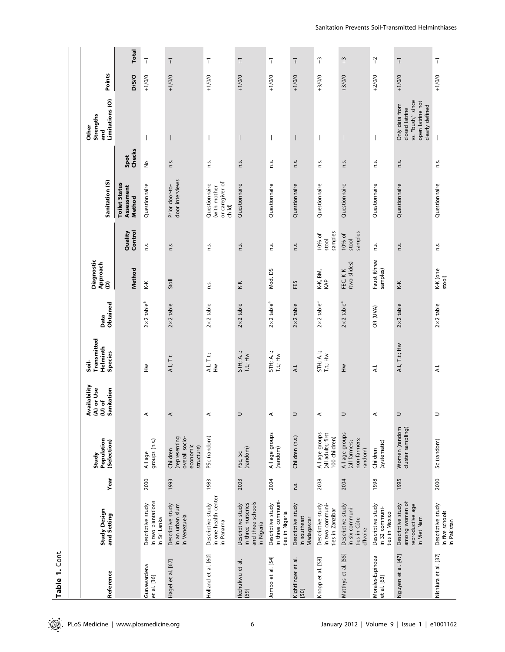| Table 1. Cont.                  |                                                                            |      |                                                                       |                                                             |                                                                                                      |                                 |                             |                            |                                                            |                |                                                                                              |          |                 |
|---------------------------------|----------------------------------------------------------------------------|------|-----------------------------------------------------------------------|-------------------------------------------------------------|------------------------------------------------------------------------------------------------------|---------------------------------|-----------------------------|----------------------------|------------------------------------------------------------|----------------|----------------------------------------------------------------------------------------------|----------|-----------------|
| Reference                       | <b>Study Design</b><br>and Setting                                         | Year | Population<br>(Selection)<br>Study                                    | Availability<br>Sanitation<br>A) or Use<br>$\frac{1}{2}$ of | Transmitted<br>Helminth<br>Species<br>$rac{1}{2}$                                                    | Obtained<br>Data                | Diagnostic<br>Approach<br>ê |                            | Sanitation (S)                                             |                | Limitations (O)<br>Strengths<br><b>Other</b><br>na<br>ana                                    | Points   |                 |
|                                 |                                                                            |      |                                                                       |                                                             |                                                                                                      |                                 | Method                      | Control<br>Quality         | <b>Toilet Status</b><br>Assessment<br>Method               | Spot<br>Checks |                                                                                              | D/S/O    | <b>Total</b>    |
| Gunawardena<br>et al. [36]      | in two plantations<br>Descriptive study<br>in Sri Lanka                    | 2000 | groups (n.s.)<br>All age                                              |                                                             | $\tilde{\mathbf{f}}$                                                                                 | $2 \times 2$ table <sup>a</sup> | K-K                         | n.s.                       | Questionnaire                                              | $\frac{1}{2}$  |                                                                                              | $+1/0/0$ | $\overline{+}$  |
| Hagel et al. [67]               | in an urban slum<br>Descriptive study<br>in Venezuela                      | 1993 | (representing<br>overall socio-<br>economic<br>structure)<br>Children |                                                             | A.l.; T.t.                                                                                           | $2 \times 2$ table              | Stoll                       | n.s.                       | door interviews<br>Prior door-to-                          | n.s.           | $\overline{\phantom{a}}$                                                                     | $+1/0/0$ | 7               |
| Holland et al. [60]             | in one health center<br>Descriptive study<br>in Panama                     | 1983 | PSc (random)                                                          |                                                             | $\begin{array}{l} \mathsf{A}.\mathsf{I},\mathsf{T}.\mathsf{t},\mathsf{i} \\ \mathsf{Hw} \end{array}$ | $2 \times 2$ table              | n.s.                        | n.s.                       | or caregiver of<br>Questionnaire<br>(with mother<br>child) | n.S.           |                                                                                              | $+1/0/0$ | $\mp$           |
| llechukwu et al.<br>[59]        | and three schools<br>in three nurseries<br>Descriptive study<br>in Nigeria | 2003 | PSc, Sc<br>(random)                                                   |                                                             | STH; A.I.;<br>T.t.; Hw                                                                               | $2 \times 2$ table              | K-K                         | n.s.                       | Questionnaire                                              | n.s.           | $\overline{\phantom{a}}$                                                                     | $+1/0/0$ | $\mp$           |
| Jombo et al. [54]               | in three communi-<br>Descriptive study<br>ties in Nigeria                  | 2004 | All age groups<br>(random)                                            |                                                             | STH; A.I.;<br>T.t.; Hw                                                                               | $2 \times 2$ table <sup>a</sup> | Mod. DS                     | n.s.                       | Questionnaire                                              | n.s.           |                                                                                              | $+1/0/0$ | $\overline{+}$  |
| Kightlinger et al.<br>$[50]$    | Descriptive study<br>in southeast<br>Madagascar                            | n.s. | Children (n.s.)                                                       |                                                             | $\overline{A}$ .                                                                                     | $2 \times 2$ table              | FES                         | n.s.                       | Questionnaire                                              | n.s.           |                                                                                              | $+1/0/0$ | $\overline{+}$  |
| Knopp et al. [58]               | Descriptive study<br>in two communi-<br>ties in Zanzibar                   | 2008 | All age groups<br>(all adults; first<br>100 children)                 |                                                             | STH; A.I.;<br>T.t.; Hw                                                                               | $2 \times 2$ table <sup>a</sup> | k-k, BM,<br>Kap             | samples<br>10% of<br>stool | Questionnaire                                              | n.s.           |                                                                                              | $+3/0/0$ | $\widetilde{+}$ |
| Matthys et al. [55]             | Descriptive study<br>in six communi-<br>ties in Côte<br>d'Ivoire           | 2004 | All age groups<br>non-farmers:<br>(all farmers;<br>random)            |                                                             | $\tilde{\tilde{\pm}}$                                                                                | $2 \times 2$ table <sup>a</sup> | (two slides)<br>FEC, K-K    | samples<br>10% of<br>stool | Questionnaire                                              | n.s.           | $\overline{\phantom{a}}$                                                                     | $+3/0/0$ | $\widetilde{+}$ |
| Morales-Espinoza<br>et al. [63] | Descriptive study<br>in 32 communi-<br>ties in Mexico                      | 1998 | (systematic)<br>Children                                              |                                                             | $\overline{A}$ .                                                                                     | OR (UVA)                        | Faust (three<br>samples)    | n.s.                       | Questionnaire                                              | n.S.           |                                                                                              | $+2/0/0$ | $\widetilde{+}$ |
| Nguyen et al. [47]              | among women of<br>Descriptive study<br>reproductive age<br>in Viet Nam     | 1995 | Women (random<br>cluster sampling)                                    |                                                             | A.I.; T.t.; Hw                                                                                       | $2 \times 2$ table              | K-K                         | n.s.                       | Questionnaire                                              | n.s.           | vs. "bush," since<br>open latrine not<br>Only data from<br>clearly defined<br>closed latrine | $+1/0/0$ | $\overline{+}$  |
| Nishiura et al. [37]            | Descriptive study<br>in five schools<br>in Pakistan                        | 2000 | Sc (random)                                                           |                                                             | $\overline{A}$ .                                                                                     | $2 \times 2$ table              | K-K (one<br>stool)          | n.s.                       | Questionnaire                                              | n.S.           |                                                                                              | $+1/0/0$ | $\mp$           |

 $\bigcirc$  PLoS Medicine | www.plosmedicine.org 6 Tanuary 2012 | Volume 9 | Issue 1 | e1001162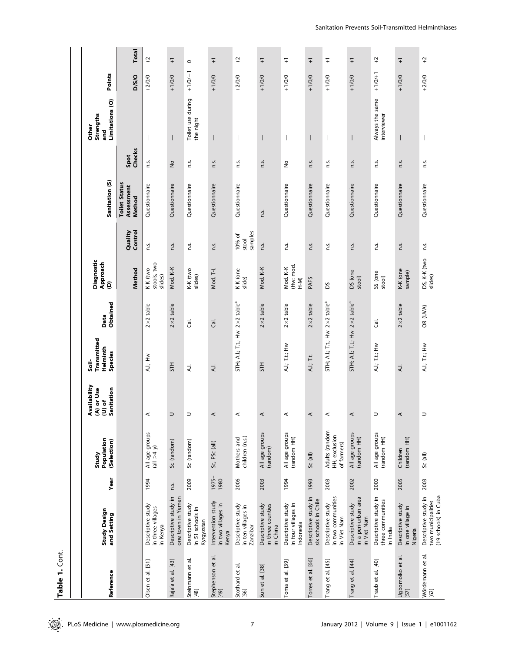| ŧ |
|---|
|   |
|   |
| 3 |

|  | PLoS Medicine   www.plosmedicine.org |
|--|--------------------------------------|
|--|--------------------------------------|

|                                 |                                                                    |                  |                                                | Availability                       | Soil-                                               |                    |                                        |                              |                                              |                | <b>Other</b>                        |           |
|---------------------------------|--------------------------------------------------------------------|------------------|------------------------------------------------|------------------------------------|-----------------------------------------------------|--------------------|----------------------------------------|------------------------------|----------------------------------------------|----------------|-------------------------------------|-----------|
| Reference                       | <b>Study Design</b><br>and Setting                                 | Year             | Population<br>(Selection)<br>Study             | (A) or Use<br>(U) of<br>Sanitation | Transmitted<br>Helminth<br><b>Species</b>           | Obtained<br>Data   | Diagnostic<br>Approach<br>(D)          |                              | Sanitation (S)                               |                | Limitations (O)<br>Strengths<br>and | Points    |
|                                 |                                                                    |                  |                                                |                                    |                                                     |                    | Method                                 | Control<br>Quality           | <b>Toilet Status</b><br>Assessment<br>Method | Spot<br>Checks |                                     | D/S/O     |
| Olsen et al. [51]               | Descriptive study<br>in three villages<br>in Kenya                 | 1994             | All age groups<br>(all $>4$ y)                 |                                    | A.l.; Hw                                            | $2 \times 2$ table | stools, two<br>K-K (two<br>slides)     | n.s.                         | Questionnaire                                | n.s            |                                     | $+2/0/0$  |
| Raja'a et al. [43]              | Descriptive study in<br>one town in Yemen                          | n.s.             | Sc (random)                                    |                                    | 5H                                                  | $2 \times 2$ table | Mod. K-K                               | n.s.                         | Questionnaire                                | $\frac{1}{2}$  | $\overline{\phantom{a}}$            | $+1/0/0$  |
| Steinmann et al.<br>$[48]$      | Descriptive study<br>in 51 schools in<br>Kyrgyzstan                | 2009             | Sc (random)                                    |                                    | ₹                                                   | Cal.               | K-K (two<br>slides)                    | n.s.                         | Questionnaire                                | n.s.           | Toilet use during<br>the night      | $+1/0/1+$ |
| Stephenson et al.<br>$[49]$     | Intervention study<br>in two villages in<br>Kenya                  | $1975 -$<br>1980 | Sc, PSc (all)                                  | c                                  | ₹                                                   | ල්<br>             | Mod. T-L                               | n.s.                         | Questionnaire                                | n.s.           |                                     | $+1/0/0$  |
| Stothard et al.<br>[56]         | Descriptive study<br>in ten villages in<br>Zanzibar                | 2006             | children (n.s.)<br>Mothers and                 | ď                                  | STH; A.I.; T.t.; Hw $2 \times 2$ table <sup>a</sup> |                    | K-K (one<br>slide)                     | samples<br>$10%$ of<br>stool | Questionnaire                                | n.s.           |                                     | $+2/0/0$  |
| Sun et al. [38]                 | Descriptive study<br>in three counties<br>in China                 | 2003             | All age groups<br>(random)                     | ⋖                                  | <b>HLS</b>                                          | $2 \times 2$ table | Mod. K-K                               | n.s.                         | n.s.                                         | n.s.           |                                     | $+1/0/0$  |
| Toma et al. [39]                | Descriptive study<br>in four villages in<br>Indonesia              | 1994             | All age groups<br>(random HH)                  |                                    | A.l.; T.t.; Hw                                      | $2 \times 2$ table | (Hw: mod.<br>Mod. K-K<br>$\widehat{K}$ | n.s.                         | Questionnaire                                | ş              |                                     | $+1/0/0$  |
| Torres et al. [66]              | Descriptive study in<br>six schools in Chile                       | 1993             | Sc (all)                                       | $\tau$                             | A.I.; T.t.                                          | $2 \times 2$ table | PAFS                                   | n.s.                         | Questionnaire                                | n.s.           |                                     | $+1/0/0$  |
| $[45]$<br>$\vec{a}$<br>Trang et | in two communities<br>Descriptive study<br>in Viet Nam             | 2003             | Adults (random<br>HH; exclusion<br>of farmers) |                                    | STH; A.I.; T.t.; Hw $2 \times 2$ table <sup>a</sup> |                    | Σq                                     | n.s.                         | Questionnaire                                | n.s.           | $\overline{\phantom{a}}$            | $+1/0/0$  |
| Trang et al. [44]               | in a peri-urban area<br>Descriptive study<br>in Viet Nam           | 2002             | All age groups<br>(random HH)                  | ⋖                                  | STH; A.I.; T.t.; Hw $2 \times 2$ table <sup>a</sup> |                    | DS (one<br>stool)                      | n.s.                         | Questionnaire                                | n.s.           | $\overline{\phantom{a}}$            | $+1/0/0$  |
| Traub et al. [40]               | Descriptive study in<br>three communities<br>in India              | 2000             | All age groups<br>(random HH)                  |                                    | A.I.; T.t.; Hw                                      | ತ                  | SS (one<br>stool)                      | n.s.                         | Questionnaire                                | n.s.           | Always the same<br>interviewer      | $+1/0/1+$ |
| Ugbomoiko et al.<br>$[57]$      | Descriptive study<br>in one village in<br>Nigeria                  | 2005             | (random HH)<br>Children                        |                                    | ₹                                                   | $2 \times 2$ table | K-K (one<br>sample)                    | n.s.                         | Questionnaire                                | n.s.           |                                     | $+1/0/0$  |
| Wördemann et al.<br>[62]        | (19 schools) in Cuba<br>Descriptive study in<br>two municipalities | 2003             | Sc (all)                                       | -                                  | A.l.; T.t.; Hw                                      | OR (UVA)           | DS, K-K (two<br>slides)                | n.s.                         | Questionnaire                                | n.s.           |                                     | $+2/0/0$  |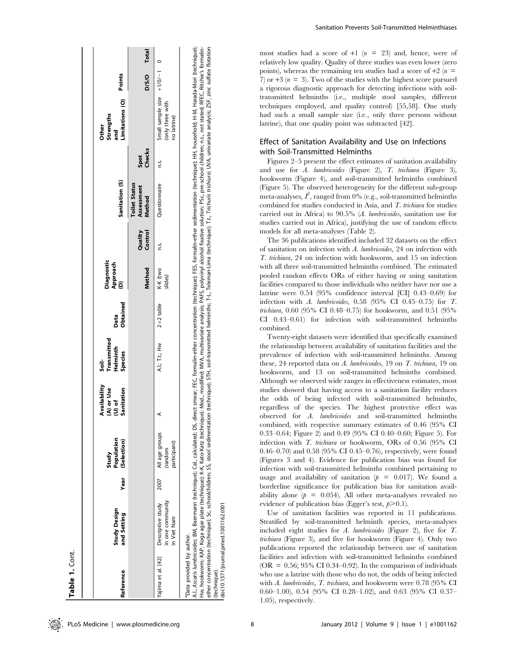|                          | <b>Study Design</b>                                                                                                                                                                                                                                                                                                                                                                                                                                                                                                                                                                                                                                                                                |      | Population<br>Study                       | Availability<br>A) or Use<br>in of | Transmitted<br>Helminth<br>sail. | Data               | Diagnostic<br>Approach<br>ã |                    | Sanitation (S)                               |                | Strengths<br><b>Other</b><br>and                               | Points      |  |
|--------------------------|----------------------------------------------------------------------------------------------------------------------------------------------------------------------------------------------------------------------------------------------------------------------------------------------------------------------------------------------------------------------------------------------------------------------------------------------------------------------------------------------------------------------------------------------------------------------------------------------------------------------------------------------------------------------------------------------------|------|-------------------------------------------|------------------------------------|----------------------------------|--------------------|-----------------------------|--------------------|----------------------------------------------|----------------|----------------------------------------------------------------|-------------|--|
| Reference                | and Setting                                                                                                                                                                                                                                                                                                                                                                                                                                                                                                                                                                                                                                                                                        | Year | (Selection)                               | Sanitation                         | Species                          | Obtained           | Method                      | Quality<br>Control | <b>Toilet Status</b><br>Assessment<br>Method | Checks<br>Spot | Limitations (O)                                                | D/S/O Total |  |
| (ajima et al. [42]       | in one community<br>Descriptive study<br>in Viet Nam                                                                                                                                                                                                                                                                                                                                                                                                                                                                                                                                                                                                                                               | 2007 | All age groups<br>participant)<br>(random |                                    | A.I.; T.t.; Hw                   | $2 \times 2$ table | K-K (two<br>slides)         | c.<br>C            | Questionnaire                                | Γ.             | Small sample size +1/0/-1 0<br>(only three with<br>no latrine) |             |  |
| Data provided by author. | A.J., Ascaris lumbricoides; BM, Baermann (technique); Cal., calcchique); Cal., calculated; DS, direct smear; FEC, formalin-ether concentration (technique); FES, formalin-ether sedimentation (technique); HH, household; H-M,<br>Hw, hookworm; KAP, Koga agar plate (technique); K-K, Kato-Katz (technique); Mod., moldified; MVA, multivariate analysis; PAFS, polyvinyl alcohol fixative solution; PSc, pre-school children; n.s., not stated; RFEC, Ritchie'<br>ether concentration (technique); Sc, schoolchildren; SS, stool sedimentation (technique); STH, soil-transmitted helminths; T-L, Teleman-Lima (technique); T.t., Trichhuris trichiura; UVA, univariate analysis; ZSF, zinc sulf |      |                                           |                                    |                                  |                    |                             |                    |                                              |                |                                                                |             |  |

ether concentration (technique); Sc, schoolchildren; SS, stool sedimentation (technique); STH, soil-transmitted helminths; T-L, Teleman-Lima (technique); T.t., Trichuris trichiura; UVA, univariate analysis; ZSF, zinc sulfa ether concentration (technique); Sc, schoolchildren; SS, stool sedimentation (technique); STH, soil-transmitted helminths; T-L, Teleman-Lima (technique); T.t., Trichuris trichuris (trichuris 10/A,

doi:10.1371/journal.pmed.1001162.t001 doi:10.1371/journal.pmed.1001162.t001 (technique). (technique)

Sanitation Prevents Soil-Transmitted Helminthiases

most studies had a score of  $+1$  ( $n = 23$ ) and, hence, were of relatively low quality. Quality of three studies was even lower (zero points), whereas the remaining ten studies had a score of  $+2$  ( $n =$ 7) or  $+3$  ( $n = 3$ ). Two of the studies with the highest score pursued a rigorous diagnostic approach for detecting infections with soiltransmitted helminths (i.e., multiple stool samples, different techniques employed, and quality control) [55,58]. One study had such a small sample size (i.e., only three persons without latrine), that one quality point was subtracted [42].

## Effect of Sanitation Availability and Use on Infections with Soil-Transmitted Helminths

Figures 2–5 present the effect estimates of sanitation availability and use for A. lumbricoides (Figure 2), T. trichiura (Figure 3), hookworm (Figure 4), and soil-transmitted helminths combined (Figure 5). The observed heterogeneity for the different sub-group meta-analyses,  $I^2$ , ranged from 0% (e.g., soil-transmitted helminths combined for studies conducted in Asia, and T. trichiura for studies carried out in Africa) to 90.5% (A. lumbricoides, sanitation use for studies carried out in Africa), justifying the use of random effects models for all meta-analyses (Table 2).

The 36 publications identified included 32 datasets on the effect of sanitation on infection with A. lumbricoides, 24 on infection with T. trichiura, 24 on infection with hookworm, and 15 on infection with all three soil-transmitted helminths combined. The estimated pooled random effects ORs of either having or using sanitation facilities compared to those individuals who neither have nor use a latrine were 0.54 (95% confidence interval [CI] 0.43–0.69) for infection with A. lumbricoides,  $0.58$  (95% CI 0.45-0.75) for T. trichiura, 0.60 (95% CI 0.48–0.75) for hookworm, and 0.51 (95% CI 0.43–0.61) for infection with soil-transmitted helminths combined.

Twenty-eight datasets were identified that specifically examined the relationship between availability of sanitation facilities and the prevalence of infection with soil-transmitted helminths. Among these, 24 reported data on A. lumbricoides, 19 on T. trichiura, 19 on hookworm, and 13 on soil-transmitted helminths combined. Although we observed wide ranges in effectiveness estimates, most studies showed that having access to a sanitation facility reduces the odds of being infected with soil-transmitted helminths, regardless of the species. The highest protective effect was observed for A. lumbricoides and soil-transmitted helminths combined, with respective summary estimates of 0.46 (95% CI 0.33–0.64; Figure 2) and 0.49 (95% CI 0.40–0.60; Figure 5). For infection with T. trichiura or hookworm, ORs of 0.56 (95% CI 0.46–0.70) and 0.58 (95% CI 0.45–0.76), respectively, were found (Figures 3 and 4). Evidence for publication bias was found for infection with soil-transmitted helminths combined pertaining to usage and availability of sanitation ( $p = 0.017$ ). We found a borderline significance for publication bias for sanitation availability alone ( $p = 0.054$ ). All other meta-analyses revealed no evidence of publication bias (Egger's test,  $p > 0.1$ ).

Use of sanitation facilities was reported in 11 publications. Stratified by soil-transmitted helminth species, meta-analyses included eight studies for A. lumbricoides (Figure 2), five for T. trichiura (Figure 3), and five for hookworm (Figure 4). Only two publications reported the relationship between use of sanitation facilities and infection with soil-transmitted helminths combined ( $OR = 0.56$ ; 95% CI 0.34–0.92). In the comparison of individuals who use a latrine with those who do not, the odds of being infected with A. lumbricoides, T. trichiura, and hookworm were 0.78 (95% CI 0.60–1.00), 0.54 (95% CI 0.28–1.02), and 0.63 (95% CI 0.37– 1.05), respectively.

Table 1.

Table 1. Cont.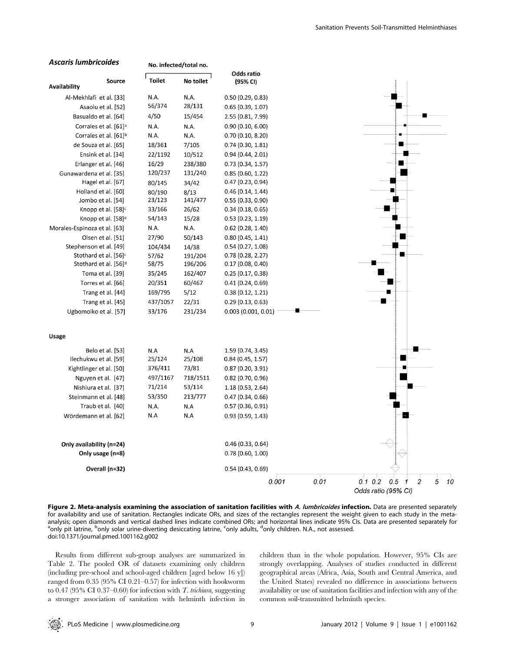

Figure 2. Meta-analysis examining the association of sanitation facilities with A. lumbricoides infection. Data are presented separately for availability and use of sanitation. Rectangles indicate ORs, and sizes of the rectangles represent the weight given to each study in the metaanalysis; open diamonds and vertical dashed lines indicate combined ORs; and horizontal lines indicate 95% CIs. Data are presented separately for <sup>a</sup>only pit latrine, <sup>b</sup>only solar urine-diverting desiccating latrine, <sup>c</sup>only adults, <sup>d</sup>only children. N.A., not assessed. doi:10.1371/journal.pmed.1001162.g002

Results from different sub-group analyses are summarized in Table 2. The pooled OR of datasets examining only children (including pre-school and school-aged children [aged below 16 y]) ranged from 0.35 (95% CI 0.21–0.57) for infection with hookworm to 0.47 (95% CI 0.37–0.60) for infection with T. trichiura, suggesting a stronger association of sanitation with helminth infection in children than in the whole population. However, 95% CIs are strongly overlapping. Analyses of studies conducted in different geographical areas (Africa, Asia, South and Central America, and the United States) revealed no difference in associations between availability or use of sanitation facilities and infection with any of the common soil-transmitted helminth species.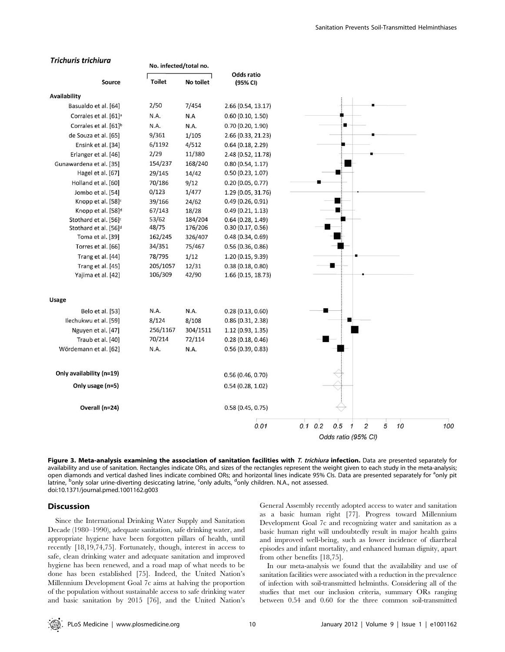| Trichuris trichiura               | No. infected/total no. |           |                        |                                                                |     |
|-----------------------------------|------------------------|-----------|------------------------|----------------------------------------------------------------|-----|
| Source                            | <b>Toilet</b>          | No toilet | Odds ratio<br>(95% CI) |                                                                |     |
| Availability                      |                        |           |                        |                                                                |     |
| Basualdo et al. [64]              | 2/50                   | 7/454     | 2.66 (0.54, 13.17)     |                                                                |     |
| Corrales et al. [61] <sup>a</sup> | N.A.                   | N.A       | 0.60(0.10, 1.50)       |                                                                |     |
| Corrales et al. [61] <sup>b</sup> | N.A.                   | N.A.      | 0.70(0.20, 1.90)       |                                                                |     |
| de Souza et al. [65]              | 9/361                  | 1/105     | 2.66 (0.33, 21.23)     |                                                                |     |
| Ensink et al. [34]                | 6/1192                 | 4/512     | 0.64(0.18, 2.29)       |                                                                |     |
| Erlanger et al. [46]              | 2/29                   | 11/380    | 2.48 (0.52, 11.78)     |                                                                |     |
| Gunawardena et al. [35]           | 154/237                | 168/240   | 0.80(0.54, 1.17)       |                                                                |     |
| Hagel et al. [67]                 | 29/145                 | 14/42     | 0.50(0.23, 1.07)       |                                                                |     |
| Holland et al. [60]               | 70/186                 | 9/12      | 0.20(0.05, 0.77)       |                                                                |     |
| Jombo et al. [54]                 | 0/123                  | 1/477     | 1.29 (0.05, 31.76)     |                                                                |     |
| Knopp et al. [58]c                | 39/166                 | 24/62     | 0.49(0.26, 0.91)       |                                                                |     |
| Knopp et al. [58] <sup>d</sup>    | 67/143                 | 18/28     | 0.49(0.21, 1.13)       |                                                                |     |
| Stothard et al. [56] <sup>c</sup> | 53/62                  | 184/204   | 0.64(0.28, 1.49)       |                                                                |     |
| Stothard et al. [56] <sup>d</sup> | 48/75                  | 176/206   | 0.30(0.17, 0.56)       |                                                                |     |
| Toma et al. [39]                  | 162/245                | 326/407   | 0.48(0.34, 0.69)       |                                                                |     |
| Torres et al. [66]                | 34/351                 | 75/467    | 0.56(0.36, 0.86)       |                                                                |     |
| Trang et al. [44]                 | 78/795                 | 1/12      | 1.20 (0.15, 9.39)      |                                                                |     |
| Trang et al. [45]                 | 205/1057               | 12/31     | 0.38(0.18, 0.80)       | ٠                                                              |     |
| Yajima et al. [42]                | 106/309                | 42/90     | 1.66 (0.15, 18.73)     |                                                                |     |
| <b>Usage</b>                      |                        |           |                        |                                                                |     |
| Belo et al. [53]                  | N.A.                   | N.A.      | 0.28(0.13, 0.60)       |                                                                |     |
| Ilechukwu et al. [59]             | 8/124                  | 8/108     | 0.86(0.31, 2.38)       |                                                                |     |
| Nguyen et al. [47]                | 256/1167               | 304/1511  | 1.12(0.93, 1.35)       |                                                                |     |
| Traub et al. [40]                 | 70/214                 | 72/114    | 0.28(0.18, 0.46)       |                                                                |     |
| Wördemann et al. [62]             | N.A.                   | N.A.      | 0.56(0.39, 0.83)       |                                                                |     |
| Only availability (n=19)          |                        |           | 0.56(0.46, 0.70)       |                                                                |     |
| Only usage (n=5)                  |                        |           | 0.54(0.28, 1.02)       |                                                                |     |
|                                   |                        |           |                        |                                                                |     |
| Overall (n=24)                    |                        |           | 0.58(0.45, 0.75)       |                                                                |     |
|                                   |                        |           | 0.01                   | 0.2<br>0.5<br>5<br>$\overline{c}$<br>0.1<br>10<br>$\mathbf{1}$ | 100 |
|                                   |                        |           |                        | Odds ratio (95% CI)                                            |     |

Figure 3. Meta-analysis examining the association of sanitation facilities with T. trichiura infection. Data are presented separately for availability and use of sanitation. Rectangles indicate ORs, and sizes of the rectangles represent the weight given to each study in the meta-analysis; open diamonds and vertical dashed lines indicate combined ORs; and horizontal lines indicate 95% CIs. Data are presented separately for <sup>a</sup>only pit latrine, <sup>b</sup>only solar urine-diverting desiccating latrine, <sup>c</sup>only adults, <sup>d</sup>only children. N.A., not assessed. doi:10.1371/journal.pmed.1001162.g003

## Discussion

**Trichuris trichiura** 

Since the International Drinking Water Supply and Sanitation Decade (1980–1990), adequate sanitation, safe drinking water, and appropriate hygiene have been forgotten pillars of health, until recently [18,19,74,75]. Fortunately, though, interest in access to safe, clean drinking water and adequate sanitation and improved hygiene has been renewed, and a road map of what needs to be done has been established [75]. Indeed, the United Nation's Millennium Development Goal 7c aims at halving the proportion of the population without sustainable access to safe drinking water and basic sanitation by 2015 [76], and the United Nation's General Assembly recently adopted access to water and sanitation as a basic human right [77]. Progress toward Millennium Development Goal 7c and recognizing water and sanitation as a basic human right will undoubtedly result in major health gains and improved well-being, such as lower incidence of diarrheal episodes and infant mortality, and enhanced human dignity, apart from other benefits [18,75].

In our meta-analysis we found that the availability and use of sanitation facilities were associated with a reduction in the prevalence of infection with soil-transmitted helminths. Considering all of the studies that met our inclusion criteria, summary ORs ranging between 0.54 and 0.60 for the three common soil-transmitted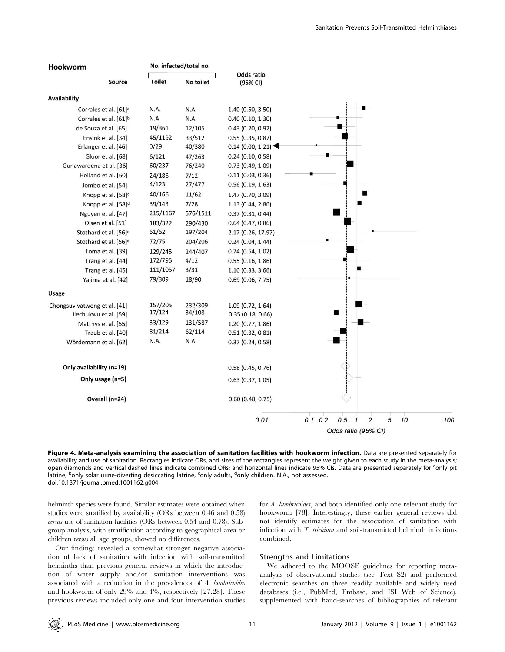

Figure 4. Meta-analysis examining the association of sanitation facilities with hookworm infection. Data are presented separately for availability and use of sanitation. Rectangles indicate ORs, and sizes of the rectangles represent the weight given to each study in the meta-analysis; open diamonds and vertical dashed lines indicate combined ORs; and horizontal lines indicate 95% CIs. Data are presented separately for <sup>a</sup>only pit latrine, <sup>b</sup>only solar urine-diverting desiccating latrine, <sup>c</sup>only adults, <sup>d</sup>only children. N.A., not assessed. doi:10.1371/journal.pmed.1001162.g004

helminth species were found. Similar estimates were obtained when studies were stratified by availability (ORs between 0.46 and 0.58) versus use of sanitation facilities (ORs between 0.54 and 0.78). Subgroup analysis, with stratification according to geographical area or children versus all age groups, showed no differences.

Our findings revealed a somewhat stronger negative association of lack of sanitation with infection with soil-transmitted helminths than previous general reviews in which the introduction of water supply and/or sanitation interventions was associated with a reduction in the prevalences of A. lumbricoides and hookworm of only 29% and 4%, respectively [27,28]. These previous reviews included only one and four intervention studies

for A. lumbricoides, and both identified only one relevant study for hookworm [78]. Interestingly, these earlier general reviews did not identify estimates for the association of sanitation with infection with  $T$ . trichiura and soil-transmitted helminth infections combined.

## Strengths and Limitations

We adhered to the MOOSE guidelines for reporting metaanalysis of observational studies (see Text S2) and performed electronic searches on three readily available and widely used databases (i.e., PubMed, Embase, and ISI Web of Science), supplemented with hand-searches of bibliographies of relevant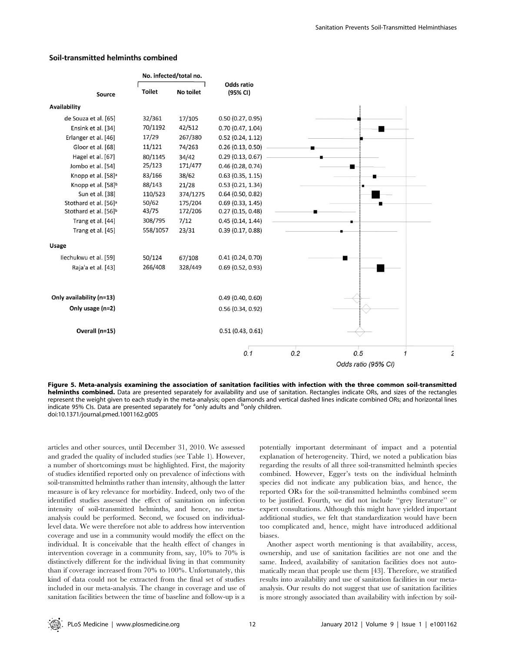## Soil-transmitted helminths combined



Figure 5. Meta-analysis examining the association of sanitation facilities with infection with the three common soil-transmitted helminths combined. Data are presented separately for availability and use of sanitation. Rectangles indicate ORs, and sizes of the rectangles represent the weight given to each study in the meta-analysis; open diamonds and vertical dashed lines indicate combined ORs; and horizontal lines indicate 95% Cls. Data are presented separately for <sup>a</sup>only adults and <sup>b</sup>only children. doi:10.1371/journal.pmed.1001162.g005

articles and other sources, until December 31, 2010. We assessed and graded the quality of included studies (see Table 1). However, a number of shortcomings must be highlighted. First, the majority of studies identified reported only on prevalence of infections with soil-transmitted helminths rather than intensity, although the latter measure is of key relevance for morbidity. Indeed, only two of the identified studies assessed the effect of sanitation on infection intensity of soil-transmitted helminths, and hence, no metaanalysis could be performed. Second, we focused on individuallevel data. We were therefore not able to address how intervention coverage and use in a community would modify the effect on the individual. It is conceivable that the health effect of changes in intervention coverage in a community from, say, 10% to 70% is distinctively different for the individual living in that community than if coverage increased from 70% to 100%. Unfortunately, this kind of data could not be extracted from the final set of studies included in our meta-analysis. The change in coverage and use of sanitation facilities between the time of baseline and follow-up is a

potentially important determinant of impact and a potential explanation of heterogeneity. Third, we noted a publication bias regarding the results of all three soil-transmitted helminth species combined. However, Egger's tests on the individual helminth species did not indicate any publication bias, and hence, the reported ORs for the soil-transmitted helminths combined seem to be justified. Fourth, we did not include ''grey literature'' or expert consultations. Although this might have yielded important additional studies, we felt that standardization would have been too complicated and, hence, might have introduced additional biases.

Another aspect worth mentioning is that availability, access, ownership, and use of sanitation facilities are not one and the same. Indeed, availability of sanitation facilities does not automatically mean that people use them [43]. Therefore, we stratified results into availability and use of sanitation facilities in our metaanalysis. Our results do not suggest that use of sanitation facilities is more strongly associated than availability with infection by soil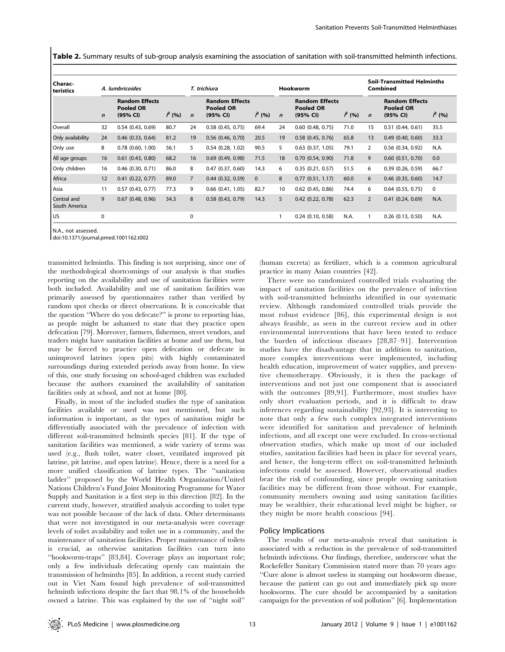Table 2. Summary results of sub-group analysis examining the association of sanitation with soil-transmitted helminth infections.

| Charac-<br>teristics         |             | A. lumbricoides                                       |            |                | T. trichiura                                          |               |             | <b>Hookworm</b>                                       |               |                | <b>Soil-Transmitted Helminths</b><br>Combined         |               |
|------------------------------|-------------|-------------------------------------------------------|------------|----------------|-------------------------------------------------------|---------------|-------------|-------------------------------------------------------|---------------|----------------|-------------------------------------------------------|---------------|
|                              | $\mathbf n$ | <b>Random Effects</b><br><b>Pooled OR</b><br>(95% CI) | $^{2}$ (%) | $\mathbf n$    | <b>Random Effects</b><br><b>Pooled OR</b><br>(95% CI) | $\hat{f}$ (%) | $\mathbf n$ | <b>Random Effects</b><br><b>Pooled OR</b><br>(95% CI) | $\hat{f}$ (%) | $\mathbf n$    | <b>Random Effects</b><br><b>Pooled OR</b><br>(95% CI) | $\hat{f}$ (%) |
| Overall                      | 32          | $0.54$ (0.43, 0.69)                                   | 80.7       | 24             | $0.58$ $(0.45, 0.75)$                                 | 69.4          | 24          | $0.60$ $(0.48, 0.75)$                                 | 71.0          | 15             | $0.51$ $(0.44, 0.61)$                                 | 35.5          |
| Only availability            | 24          | $0.46$ (0.33, 0.64)                                   | 81.2       | 19             | $0.56$ $(0.46, 0.70)$                                 | 20.5          | 19          | $0.58$ $(0.45, 0.76)$                                 | 65.8          | 13             | $0.49$ (0.40, 0.60)                                   | 33.3          |
| Only use                     | 8           | $0.78$ $(0.60, 1.00)$                                 | 56.1       | 5              | $0.54$ (0.28, 1.02)                                   | 90.5          | 5           | $0.63$ $(0.37, 1.05)$                                 | 79.1          | $\overline{2}$ | $0.56$ $(0.34, 0.92)$                                 | N.A.          |
| All age groups               | 16          | $0.61$ (0.43, 0.80)                                   | 68.2       | 16             | $0.69$ $(0.49, 0.98)$                                 | 71.5          | 18          | $0.70$ $(0.54, 0.90)$                                 | 71.8          | 9              | $0.60$ $(0.51, 0.70)$                                 | 0.0           |
| Only children                | 16          | $0.46$ (0.30, 0.71)                                   | 86.0       | 8              | $0.47$ $(0.37, 0.60)$                                 | 14.3          | 6           | 0.35(0.21, 0.57)                                      | 51.5          | 6              | 0.39(0.26, 0.59)                                      | 66.7          |
| Africa                       | 12          | $0.41$ $(0.22, 0.77)$                                 | 89.0       | $\overline{7}$ | $0.44$ $(0.32, 0.59)$                                 | $\mathbf{0}$  | 8           | $0.77$ $(0.51, 1.17)$                                 | 60.0          | 6              | $0.46$ (0.35, 0.60)                                   | 14.7          |
| Asia                         | 11          | 0.57(0.43, 0.77)                                      | 77.3       | 9              | $0.66$ $(0.41, 1.05)$                                 | 82.7          | 10          | $0.62$ $(0.45, 0.86)$                                 | 74.4          | 6              | $0.64$ (0.55, 0.75)                                   | $\mathbf 0$   |
| Central and<br>South America | 9           | $0.67$ (0.48, 0.96)                                   | 34.3       | 8              | $0.58$ $(0.43, 0.79)$                                 | 14.3          | 5           | $0.42$ $(0.22, 0.78)$                                 | 62.3          | $\overline{2}$ | $0.41$ $(0.24, 0.69)$                                 | N.A.          |
| US                           | $\mathbf 0$ |                                                       |            | 0              |                                                       |               |             | $0.24$ (0.10, 0.58)                                   | N.A.          |                | $0.26$ $(0.13, 0.50)$                                 | N.A.          |

N.A., not assessed.

doi:10.1371/journal.pmed.1001162.t002

transmitted helminths. This finding is not surprising, since one of the methodological shortcomings of our analysis is that studies reporting on the availability and use of sanitation facilities were both included. Availability and use of sanitation facilities was primarily assessed by questionnaires rather than verified by random spot checks or direct observations. It is conceivable that the question ''Where do you defecate?'' is prone to reporting bias, as people might be ashamed to state that they practice open defecation [79]. Moreover, farmers, fishermen, street vendors, and traders might have sanitation facilities at home and use them, but may be forced to practice open defecation or defecate in unimproved latrines (open pits) with highly contaminated surroundings during extended periods away from home. In view of this, one study focusing on school-aged children was excluded because the authors examined the availability of sanitation facilities only at school, and not at home [80].

Finally, in most of the included studies the type of sanitation facilities available or used was not mentioned, but such information is important, as the types of sanitation might be differentially associated with the prevalence of infection with different soil-transmitted helminth species [81]. If the type of sanitation facilities was mentioned, a wide variety of terms was used (e.g., flush toilet, water closet, ventilated improved pit latrine, pit latrine, and open latrine). Hence, there is a need for a more unified classification of latrine types. The ''sanitation ladder'' proposed by the World Health Organization/United Nations Children's Fund Joint Monitoring Programme for Water Supply and Sanitation is a first step in this direction [82]. In the current study, however, stratified analysis according to toilet type was not possible because of the lack of data. Other determinants that were not investigated in our meta-analysis were coverage levels of toilet availability and toilet use in a community, and the maintenance of sanitation facilities. Proper maintenance of toilets is crucial, as otherwise sanitation facilities can turn into ''hookworm-traps'' [83,84]. Coverage plays an important role; only a few individuals defecating openly can maintain the transmission of helminths [85]. In addition, a recent study carried out in Viet Nam found high prevalence of soil-transmitted helminth infections despite the fact that 98.1% of the households owned a latrine. This was explained by the use of ''night soil''

(human excreta) as fertilizer, which is a common agricultural practice in many Asian countries [42].

There were no randomized controlled trials evaluating the impact of sanitation facilities on the prevalence of infection with soil-transmitted helminths identified in our systematic review. Although randomized controlled trials provide the most robust evidence [86], this experimental design is not always feasible, as seen in the current review and in other environmental interventions that have been tested to reduce the burden of infectious diseases [28,87–91]. Intervention studies have the disadvantage that in addition to sanitation, more complex interventions were implemented, including health education, improvement of water supplies, and preventive chemotherapy. Obviously, it is then the package of interventions and not just one component that is associated with the outcomes [89,91]. Furthermore, most studies have only short evaluation periods, and it is difficult to draw inferences regarding sustainability [92,93]. It is interesting to note that only a few such complex integrated interventions were identified for sanitation and prevalence of helminth infections, and all except one were excluded. In cross-sectional observation studies, which make up most of our included studies, sanitation facilities had been in place for several years, and hence, the long-term effect on soil-transmitted helminth infections could be assessed. However, observational studies bear the risk of confounding, since people owning sanitation facilities may be different from those without. For example, community members owning and using sanitation facilities may be wealthier, their educational level might be higher, or they might be more health conscious [94].

#### Policy Implications

The results of our meta-analysis reveal that sanitation is associated with a reduction in the prevalence of soil-transmitted helminth infections. Our findings, therefore, underscore what the Rockefeller Sanitary Commission stated more than 70 years ago: ''Cure alone is almost useless in stamping out hookworm disease, because the patient can go out and immediately pick up more hookworms. The cure should be accompanied by a sanitation campaign for the prevention of soil pollution'' [6]. Implementation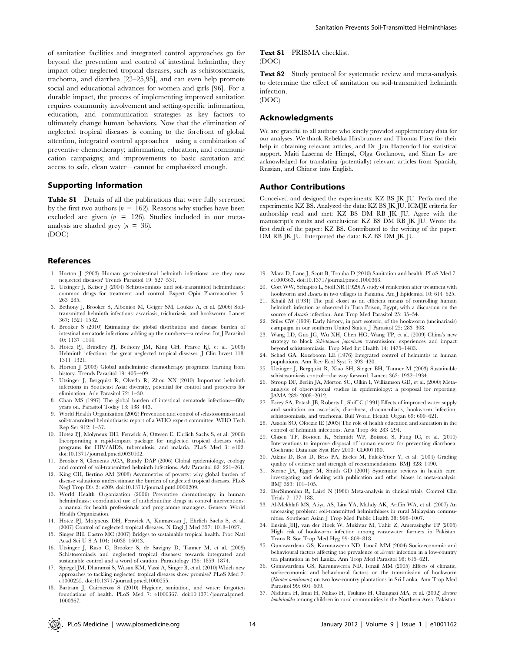of sanitation facilities and integrated control approaches go far beyond the prevention and control of intestinal helminths; they impact other neglected tropical diseases, such as schistosomiasis, trachoma, and diarrhea [23–25,95], and can even help promote social and educational advances for women and girls [96]. For a durable impact, the process of implementing improved sanitation requires community involvement and setting-specific information, education, and communication strategies as key factors to ultimately change human behaviors. Now that the elimination of neglected tropical diseases is coming to the forefront of global attention, integrated control approaches—using a combination of preventive chemotherapy; information, education, and communication campaigns; and improvements to basic sanitation and access to safe, clean water—cannot be emphasized enough.

## Supporting Information

Table S1 Details of all the publications that were fully screened by the first two authors ( $n = 162$ ). Reasons why studies have been excluded are given  $(n = 126)$ . Studies included in our metaanalysis are shaded grey  $(n = 36)$ . (DOC)

#### References

- 1. Horton J (2003) Human gastrointestinal helminth infections: are they now neglected diseases? Trends Parasitol 19: 527–531.
- 2. Utzinger J, Keiser J (2004) Schistosomiasis and soil-transmitted helminthiasis: common drugs for treatment and control. Expert Opin Pharmacother 5: 263–285.
- 3. Bethony J, Brooker S, Albonico M, Geiger SM, Loukas A, et al. (2006) Soiltransmitted helminth infections: ascariasis, trichuriasis, and hookworm. Lancet 367: 1521–1532.
- 4. Brooker S (2010) Estimating the global distribution and disease burden of intestinal nematode infections: adding up the numbers—a review. Int J Parasitol 40: 1137–1144.
- 5. Hotez PJ, Brindley PJ, Bethony JM, King CH, Pearce EJ, et al. (2008) Helminth infections: the great neglected tropical diseases. J Clin Invest 118: 1311–1321.
- 6. Horton J (2003) Global anthelmintic chemotherapy programs: learning from history. Trends Parasitol 19: 405–409.
- 7. Utzinger J, Bergquist R, Olveda R, Zhou XN (2010) Important helminth infections in Southeast Asia: diversity, potential for control and prospects for elimination. Adv Parasitol 72: 1–30.
- 8. Chan MS (1997) The global burden of intestinal nematode infections—fifty years on. Parasitol Today 13: 438–443.
- 9. World Health Organization (2002) Prevention and control of schistosomiasis and soil-transmitted helminthiasis: report of a WHO expert committee. WHO Tech Rep Ser 912: 1–57.
- 10. Hotez PJ, Molyneux DH, Fenwick A, Ottesen E, Ehrlich Sachs S, et al. (2006) Incorporating a rapid-impact package for neglected tropical diseases with programs for HIV/AIDS, tuberculosis, and malaria. PLoS Med 3: e102. doi:10.1371/journal.pmed.0030102.
- 11. Brooker S, Clements ACA, Bundy DAP (2006) Global epidemiology, ecology and control of soil-transmitted helminth infections. Adv Parasitol 62: 221–261.
- 12. King CH, Bertino AM (2008) Asymmetries of poverty: why global burden of disease valuations underestimate the burden of neglected tropical diseases. PLoS Negl Trop Dis 2: e209. doi:10.1371/journal.pntd.0000209.
- 13. World Health Organization (2006) Preventive chemotherapy in human helminthiasis: coordinated use of anthelminthic drugs in control interventions: a manual for health professionals and programme managers. Geneva: World Health Organization.
- 14. Hotez PJ, Molyneux DH, Fenwick A, Kumaresan J, Ehrlich Sachs S, et al. (2007) Control of neglected tropical diseases. N Engl J Med 357: 1018–1027.
- 15. Singer BH, Castro MC (2007) Bridges to sustainable tropical health. Proc Natl Acad Sci U S A 104: 16038–16043.
- 16. Utzinger J, Raso G, Brooker S, de Savigny D, Tanner M, et al. (2009) Schistosomiasis and neglected tropical diseases: towards integrated and sustainable control and a word of caution. Parasitology 136: 1859–1874.
- 17. Spiegel JM, Dharamsi S, Wasan KM, Yassi A, Singer B, et al. (2010) Which new approaches to tackling neglected tropical diseases show promise? PLoS Med 7: e1000255. doi:10.1371/journal.pmed.1000255.
- 18. Bartram J, Cairncross S (2010) Hygiene, sanitation, and water: forgotten foundations of health. PLoS Med 7: e1000367. doi:10.1371/journal.pmed. 1000367.

Text S1 PRISMA checklist. (DOC)

Text S2 Study protocol for systematic review and meta-analysis to determine the effect of sanitation on soil-transmitted helminth infection.

(DOC)

#### Acknowledgments

We are grateful to all authors who kindly provided supplementary data for our analyses. We thank Rebekka Hirsbrunner and Thomas Fürst for their help in obtaining relevant articles, and Dr. Jan Hattendorf for statistical support. Maiti Laserna de Himpsl, Olga Gorlanova, and Shan Lv are acknowledged for translating (potentially) relevant articles from Spanish, Russian, and Chinese into English.

#### Author Contributions

Conceived and designed the experiments: KZ BS JK JU. Performed the experiments: KZ BS. Analyzed the data: KZ BS JK JU. ICMJE criteria for authorship read and met: KZ BS DM RB JK JU. Agree with the manuscript's results and conclusions: KZ BS DM RB JK JU. Wrote the first draft of the paper: KZ BS. Contributed to the writing of the paper: DM RB JK JU. Interpreted the data: KZ BS DM JK JU.

- 19. Mara D, Lane J, Scott B, Trouba D (2010) Sanitation and health. PLoS Med 7: e1000363. doi:10.1371/journal.pmed.1000363.
- 20. Cort WW, Schapiro L, Stoll NR (1929) A study of reinfection after treatment with hookworm and Ascaris in two villages in Panama. Am J Epidemiol 10: 614–625.
- 21. Khalil M (1931) The pail closet as an efficient means of controlling human helminth infection as observed in Tura Prison, Egypt, with a discussion on the source of Ascaris infection. Ann Trop Med Parasitol 25: 35–54.
- 22. Stiles CW (1939) Early history, in part esoteric, of the hookworm (uncinariasis) campaign in our southern United States. J Parasitol 25: 283–308.
- 23. Wang LD, Guo JG, Wu XH, Chen HG, Wang TP, et al. (2009) China's new strategy to block Schistosoma japonicum transmission: experiences and impact beyond schistosomiasis. Trop Med Int Health 14: 1475–1483.
- 24. Schad GA, Rozeboom LE (1976) Integrated control of helminths in human populations. Ann Rev Ecol Syst 7: 393–420.
- 25. Utzinger J, Bergquist R, Xiao SH, Singer BH, Tanner M (2003) Sustainable schistosomiasis control—the way forward. Lancet 362: 1932–1934.
- 26. Stroup DF, Berlin JA, Morton SC, Olkin I, Williamson GD, et al. (2000) Metaanalysis of observational studies in epidemiology: a proposal for reporting. JAMA 283: 2008–2012.
- 27. Esrey SA, Potash JB, Roberts L, Shiff C (1991) Effects of improved water supply and sanitation on ascariasis, diarrhoea, dracunculiasis, hookworm infection, schistosomiasis, and trachoma. Bull World Health Organ 69: 609–621.
- 28. Asaolu SO, Ofoezie IE (2003) The role of health education and sanitation in the control of helminth infections. Acta Trop 86: 283–294.
- 29. Clasen TF, Bostoen K, Schmidt WP, Boisson S, Fung IC, et al. (2010) Interventions to improve disposal of human excreta for preventing diarrhoea. Cochrane Database Syst Rev 2010: CD007180.
- 30. Atkins D, Best D, Briss PA, Eccles M, Falck-Ytter Y, et al. (2004) Grading quality of evidence and strength of recommendations. BMJ 328: 1490.
- 31. Sterne JA, Egger M, Smith GD (2001) Systematic reviews in health care: investigating and dealing with publication and other biases in meta-analysis. BMJ 323: 101–105.
- 32. DerSimonian R, Laird N (1986) Meta-analysis in clinical trials. Control Clin Trials 7: 177–188.
- 33. Al-Mekhlafi MS, Atiya AS, Lim YA, Mahdy AK, Ariffin WA, et al. (2007) An unceasing problem: soil-transmitted helminthiases in rural Malaysian communities. Southeast Asian J Trop Med Public Health 38: 998–1007.
- 34. Ensink JHJ, van der Hoek W, Mukhtar M, Tahir Z, Amerasinghe FP (2005) High risk of hookworm infection among wastewater farmers in Pakistan. Trans R Soc Trop Med Hyg 99: 809–818.
- 35. Gunawardena GS, Karunaweera ND, Ismail MM (2004) Socio-economic and behavioural factors affecting the prevalence of Ascaris infection in a low-country tea plantation in Sri Lanka. Ann Trop Med Parasitol 98: 615–621.
- 36. Gunawardena GS, Karunaweera ND, Ismail MM (2005) Effects of climatic, socio-economic and behavioural factors on the transmission of hookworm (Necator americanus) on two low-country plantations in Sri Lanka. Ann Trop Med Parasitol 99: 601–609.
- 37. Nishiura H, Imai H, Nakao H, Tsukino H, Changazi MA, et al. (2002) Ascaris lumbricoides among children in rural communities in the Northern Area, Pakistan: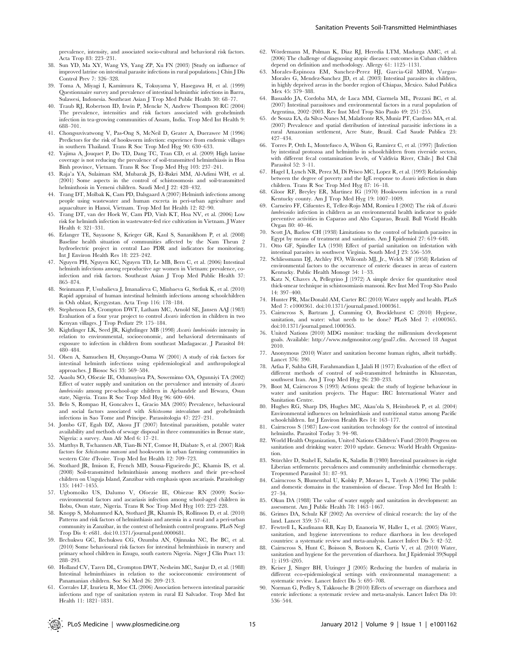prevalence, intensity, and associated socio-cultural and behavioral risk factors. Acta Trop 83: 223–231.

- 38. Sun YD, Ma XY, Wang YS, Yang ZP, Xu FN (2003) [Study on influence of improved latrine on intestinal parasite infections in rural populations.] Chin J Dis Control Prev 7: 326–328.
- 39. Toma A, Miyagi I, Kamimura K, Tokuyama Y, Hasegawa H, et al. (1999) Questionnaire survey and prevalence of intestinal helminthic infections in Barru, Sulawesi, Indonesia. Southeast Asian J Trop Med Public Health 30: 68–77.
- 40. Traub RJ, Robertson ID, Irwin P, Mencke N, Andrew Thompson RC (2004) The prevalence, intensities and risk factors associated with geohelminth infection in tea-growing communities of Assam, India. Trop Med Int Health 9: 688–701.
- 41. Chongsuvivatwong V, Pas-Ong S, McNeil D, Geater A, Duerawee M (1996) Predictors for the risk of hookworm infection: experience from endemic villages in southern Thailand. Trans R Soc Trop Med Hyg 90: 630–633.
- 42. Yajima A, Jouquet P, Do TD, Dang TC, Tran CD, et al. (2009) High latrine coverage is not reducing the prevalence of soil-transmitted helminthiasis in Hoa Binh province, Vietnam. Trans R Soc Trop Med Hyg 103: 237–241.
- 43. Raja'a YA, Sulaiman SM, Mubarak JS, El-Bakri MM, Al-Adimi WH, et al. (2001) Some aspects in the control of schistosomosis and soil-transmitted helminthosis in Yemeni children. Saudi Med J 22: 428–432.
- 44. Trang DT, Molbak K, Cam PD, Dalsgaard A (2007) Helminth infections among people using wastewater and human excreta in peri-urban agriculture and aquaculture in Hanoi, Vietnam. Trop Med Int Health 12: 82–90.
- 45. Trang DT, van der Hoek W, Cam PD, Vinh KT, Hoa NV, et al. (2006) Low risk for helminth infection in wastewater-fed rice cultivation in Vietnam. J Water Health 4: 321–331.
- 46. Erlanger TE, Sayasone S, Krieger GR, Kaul S, Sananikhom P, et al. (2008) Baseline health situation of communities affected by the Nam Theun 2 hydroelectric project in central Lao PDR and indicators for monitoring. Int J Environ Health Res 18: 223–242.
- 47. Nguyen PH, Nguyen KC, Nguyen TD, Le MB, Bern C, et al. (2006) Intestinal helminth infections among reproductive age women in Vietnam: prevalence, coinfection and risk factors. Southeast Asian J Trop Med Public Health 37: 865–874.
- 48. Steinmann P, Usubalieva J, Imanalieva C, Minbaeva G, Stefiuk K, et al. (2010) Rapid appraisal of human intestinal helminth infections among schoolchildren in Osh oblast, Kyrgyzstan. Acta Trop 116: 178–184.
- 49. Stephenson LS, Crompton DWT, Latham MC, Arnold SE, Jansen AAJ (1983) Evaluation of a four year project to control Ascaris infection in children in two Kenyan villages. J Trop Pediatr 29: 175–184.
- 50. Kightlinger LK, Seed JR, Kightlinger MB (1998) Ascaris lumbricoides intensity in relation to environmental, socioeconomic, and behavioral determinants of exposure to infection in children from southeast Madagascar. J Parasitol 84: 480–484.
- 51. Olsen A, Samuelsen H, Onyango-Ouma W (2001) A study of risk factors for intestinal helminth infections using epidemiological and anthropological approaches. J Biosoc Sci 33: 569–584.
- 52. Asaolu SO, Ofoezie IE, Odumuyiwa PA, Sowemimo OA, Ogunniyi TA (2002) Effect of water supply and sanitation on the prevalence and intensity of Ascaris lumbricoides among pre-school-age children in Ajebandele and Ifewara, Osun state, Nigeria. Trans R Soc Trop Med Hyg 96: 600–604.
- 53. Belo S, Rompao H, Goncalves L, Gracio MA (2005) Prevalence, behavioural and social factors associated with Schistosoma intercalatum and geohelminth infections in Sao Tome and Principe. Parassitologia 47: 227–231.
- 54. Jombo GT, Egah DZ, Akosu JT (2007) Intestinal parasitism, potable water availability and methods of sewage disposal in three communities in Benue state, Nigeria: a survey. Ann Afr Med 6: 17–21.
- 55. Matthys B, Tschannen AB, Tian-Bi NT, Comoe H, Diabate S, et al. (2007) Risk factors for Schistosoma mansoni and hookworm in urban farming communities in western Côte d'Ivoire. Trop Med Int Health 12: 709-723.
- 56. Stothard JR, Imison E, French MD, Sousa-Figueiredo JC, Khamis IS, et al. (2008) Soil-transmitted helminthiasis among mothers and their pre-school children on Unguja Island, Zanzibar with emphasis upon ascariasis. Parasitology 135: 1447–1455.
- 57. Ugbomoiko US, Dalumo V, Ofoezie IE, Obiezue RN (2009) Socioenvironmental factors and ascariasis infection among school-aged children in Ilobu, Osun state, Nigeria. Trans R Soc Trop Med Hyg 103: 223–228.
- 58. Knopp S, Mohammed KA, Stothard JR, Khamis IS, Rollinson D, et al. (2010) Patterns and risk factors of helminthiasis and anemia in a rural and a peri-urban community in Zanzibar, in the context of helminth control programs. PLoS Negl Trop Dis 4: e681. doi:10.1371/journal.pntd.0000681.
- 59. Ilechukwu GC, Ilechukwu CG, Ozumba AN, Ojinnaka NC, Ibe BC, et al. (2010) Some behavioural risk factors for intestinal helminthiasis in nursery and primary school children in Enugu, south eastern Nigeria. Niger J Clin Pract 13: 288–293.
- 60. Holland CV, Taren DL, Crompton DWT, Nesheim MC, Sanjur D, et al. (1988) Intestinal helminthiases in relation to the socioeconomic environment of Panamanian children. Soc Sci Med 26: 209–213.
- 61. Corrales LF, Izurieta R, Moe CL (2006) Association between intestinal parasitic infections and type of sanitation system in rural El Salvador. Trop Med Int Health 11: 1821–1831.
- 62. Wo¨rdemann M, Polman K, Diaz RJ, Heredia LTM, Madurga AMC, et al. (2006) The challenge of diagnosing atopic diseases: outcomes in Cuban children depend on definition and methodology. Allergy 61: 1125–1131.
- 63. Morales-Espinoza EM, Sanchez-Perez HJ, Garcia-Gil MDM, Vargas-Morales G, Mendez-Sanchez JD, et al. (2003) Intestinal parasites in children, in highly deprived areas in the border region of Chiapas, Mexico. Salud Publica Mex 45: 379–388.
- 64. Basualdo JA, Cordoba MA, de Luca MM, Ciarmela ML, Pezzani BC, et al. (2007) Intestinal parasitoses and environmental factors in a rural population of Argentina, 2002–2003. Rev Inst Med Trop São Paulo 49: 251–255.
- 65. de Souza EA, da Silva-Nunes M, Malafronte RS, Muniz PT, Cardoso MA, et al. (2007) Prevalence and spatial distribution of intestinal parasitic infections in a rural Amazonian settlement, Acre State, Brazil. Cad Saude Publica 23: 427–434.
- 66. Torres P, Otth L, Montefusco A, Wilson G, Ramirez C, et al. (1997) [Infection by intestinal protozoa and helminths in schoolchildren from riverside sectors, with different fecal contamination levels, of Valdivia River, Chile.] Bol Chil Parasitol 52: 3–11.
- 67. Hagel I, Lynch NR, Perez M, Di Prisco MC, Lopez R, et al. (1993) Relationship between the degree of poverty and the IgE response to Ascaris infection in slum children. Trans R Soc Trop Med Hyg 87: 16–18.
- 68. Gloor RF, Breyley ER, Martinez IG (1970) Hookworm infection in a rural Kentucky county. Am J Trop Med Hyg 19: 1007–1009.
- 69. Carneiro FF, Cifuentes E, Tellez-Rojo MM, Romieu I (2002) The risk of Ascaris lumbricoides infection in children as an environmental health indicator to guide preventive activities in Caparao and Alto Caparao, Brazil. Bull World Health Organ 80: 40–46.
- Scott JA, Barlow CH (1938) Limitations to the control of helminth parasites in Egypt by means of treatment and sanitation. Am J Epidemiol 27: 619–648.
- 71. Otto GF, Spindler LA (1930) Effect of partial sanitation on infestation with intestinal parasites in southwest Virginia. South Med J 23: 556–559.
- 72. Schliessmann DJ, Atchley FO, Wilcomb MJ, Jr., Welch SF (1958) Relation of environmental factors to the occurrence of enteric diseases in areas of eastern Kentucky. Public Health Monogr 54: 1–33.
- 73. Katz N, Chaves A, Pellegrino J (1972) A simple device for quantitative stool thick-smear technique in schistosomiasis mansoni. Rev Inst Med Trop São Paulo 14: 397–400.
- 74. Hunter PR, MacDonald AM, Carter RC (2010) Water supply and health. PLoS Med 7: e1000361. doi:10.1371/journal.pmed.1000361.
- 75. Cairncross S, Bartram J, Cumming O, Brocklehurst C (2010) Hygiene, sanitation, and water: what needs to be done? PLoS Med 7: e1000365. doi:10.1371/journal.pmed.1000365.
- 76. United Nations (2010) MDG monitor: tracking the millennium development goals. Available: http://www.mdgmonitor.org/goal7.cfm. Accessed 18 August 2010.
- 77. Anonymous (2010) Water and sanitation become human rights, albeit turbidly. Lancet 376: 390.
- 78. Arfaa F, Sahba GH, Farahmandian I, Jalali H (1977) Evaluation of the effect of different methods of control of soil-transmitted helminths in Khuzestan, southwest Iran. Am J Trop Med Hyg 26: 230–233.
- 79. Boot M, Cairncross S (1993) Actions speak: the study of hygiene behaviour in water and sanitation projects. The Hague: IRC International Water and Sanitation Centre.
- 80. Hughes RG, Sharp DS, Hughes MC, Akau'ola S, Heinsbroek P, et al. (2004) Environmental influences on helminthiasis and nutritional status among Pacific schoolchildren. Int J Environ Health Res 14: 163–177.
- 81. Cairncross S (1987) Low-cost sanitation technology for the control of intestinal helminths. Parasitol Today 3: 94–98.
- 82. World Health Organization, United Nations Children's Fund (2010) Progress on sanitation and drinking water: 2010 update. Geneva: World Health Organization.
- 83. Stürchler D, Stahel E, Saladin K, Saladin B (1980) Intestinal parasitoses in eight Liberian settlements: prevalences and community anthelminthic chemotherapy. Tropenmed Parasitol 31: 87–93.
- 84. Cairncross S, Blumenthal U, Kolsky P, Moraes L, Tayeh A (1996) The public and domestic domains in the transmission of disease. Trop Med Int Health 1: 27–34.
- 85. Okun DA (1988) The value of water supply and sanitation in development: an assessment. Am J Public Health 78: 1463–1467.
- 86. Grimes DA, Schulz KF (2002) An overview of clinical research: the lay of the land. Lancet 359: 57–61.
- 87. Fewtrell L, Kaufmann RB, Kay D, Enanoria W, Haller L, et al. (2005) Water, sanitation, and hygiene interventions to reduce diarrhoea in less developed countries: a systematic review and meta-analysis. Lancet Infect Dis 5: 42–52.
- 88. Cairncross S, Hunt C, Boisson S, Bostoen K, Curtis V, et al. (2010) Water, sanitation and hygiene for the prevention of diarrhoea. Int J Epidemiol 39(Suppl 1): i193–i205.
- 89. Keiser J, Singer BH, Utzinger J (2005) Reducing the burden of malaria in different eco-epidemiological settings with environmental management: a systematic review. Lancet Infect Dis 5: 695–708.
- 90. Norman G, Pedley S, Takkouche B (2010) Effects of sewerage on diarrhoea and enteric infections: a systematic review and meta-analysis. Lancet Infect Dis 10: 536–544.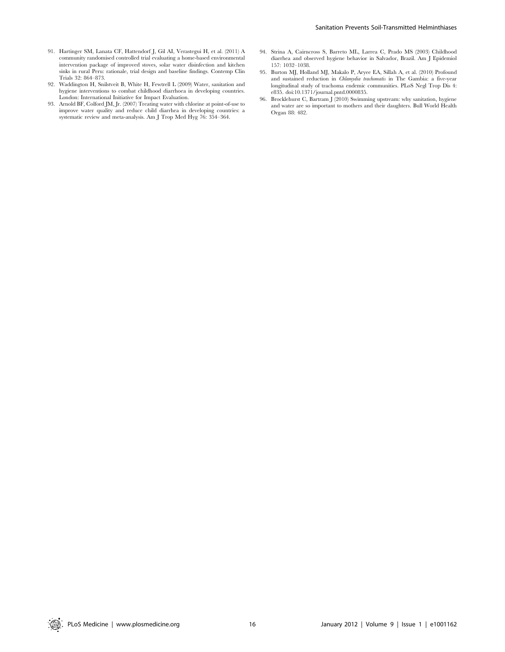- 91. Hartinger SM, Lanata CF, Hattendorf J, Gil AI, Verastegui H, et al. (2011) A community randomised controlled trial evaluating a home-based environmental intervention package of improved stoves, solar water disinfection and kitchen sinks in rural Peru: rationale, trial design and baseline findings. Contemp Clin Trials 32: 864–873.
- 92. Waddington H, Snilstveit B, White H, Fewtrell L (2009) Water, sanitation and hygiene interventions to combat childhood diarrhoea in developing countries. London: International Initiative for Impact Evaluation.
- 93. Arnold BF, Colford JM, Jr. (2007) Treating water with chlorine at point-of-use to improve water quality and reduce child diarrhea in developing countries: a systematic review and meta-analysis. Am J Trop Med Hyg 76: 354–364.
- 94. Strina A, Cairncross S, Barreto ML, Larrea C, Prado MS (2003) Childhood diarrhea and observed hygiene behavior in Salvador, Brazil. Am J Epidemiol 157: 1032–1038.
- 95. Burton MJ, Holland MJ, Makalo P, Aryee EA, Sillah A, et al. (2010) Profound and sustained reduction in *Chlamydia trachomatis* in The Gambia: a five-year longitudinal study of trachoma endemic communities. PLoS Negl Trop Dis 4: e835. doi:10.1371/journal.pntd.0000835.
- 96. Brocklehurst C, Bartram J (2010) Swimming upstream: why sanitation, hygiene and water are so important to mothers and their daughters. Bull World Health Organ 88: 482.